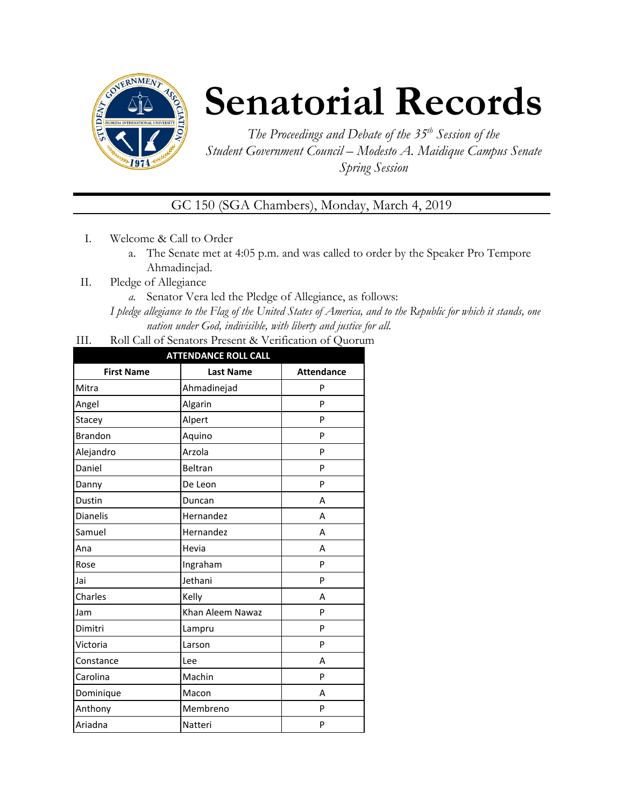

# **Senatorial Records**

*The Proceedings and Debate of the 35 th Session of the Student Government Council – Modesto A. Maidique Campus Senate Spring Session*

GC 150 (SGA Chambers), Monday, March 4, 2019

- I. Welcome & Call to Order
	- a. The Senate met at 4:05 p.m. and was called to order by the Speaker Pro Tempore Ahmadinejad.
- II. Pledge of Allegiance
	- *a.* Senator Vera led the Pledge of Allegiance, as follows:

*I pledge allegiance to the Flag of the United States of America, and to the Republic for which it stands, one nation under God, indivisible, with liberty and justice for all.*

III. Roll Call of Senators Present & Verification of Quorum

| <b>ATTENDANCE ROLL CALL</b> |                  |                   |  |
|-----------------------------|------------------|-------------------|--|
| <b>First Name</b>           | <b>Last Name</b> | <b>Attendance</b> |  |
| Mitra                       | Ahmadinejad      | P                 |  |
| Angel                       | Algarin          | P                 |  |
| Stacey                      | Alpert           | P                 |  |
| <b>Brandon</b>              | Aquino           |                   |  |
| Arzola<br>Alejandro         |                  | P                 |  |
| Daniel                      | Beltran          | P                 |  |
| Danny                       | De Leon          | P                 |  |
| Dustin                      | Duncan           | A                 |  |
| <b>Dianelis</b>             | Hernandez        | A                 |  |
| Samuel                      | Hernandez        | A                 |  |
| Ana                         | Hevia            | A                 |  |
| Rose                        | Ingraham         | P                 |  |
| Jai                         | Jethani          | P                 |  |
| Charles                     | Kelly            | А                 |  |
| Jam                         | Khan Aleem Nawaz | P                 |  |
| Dimitri                     | Lampru           | P                 |  |
| Victoria                    | Larson           | P                 |  |
| Constance                   | Lee              | A                 |  |
| Carolina                    | Machin           | P                 |  |
| Dominique                   | Macon            | A                 |  |
| Anthony                     | Membreno         | P                 |  |
| Ariadna                     | Natteri          | P                 |  |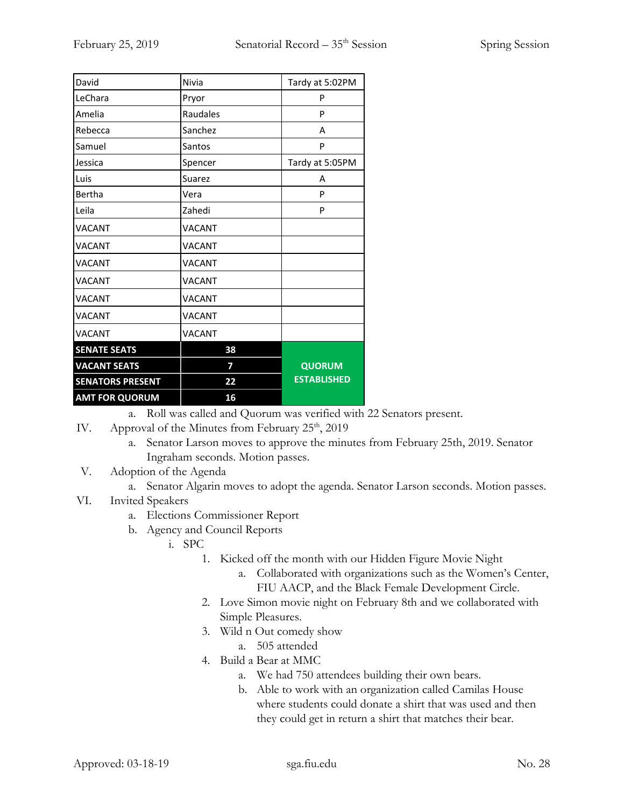| David                   | Nivia         | Tardy at 5:02PM    |
|-------------------------|---------------|--------------------|
| LeChara                 | Pryor         | P                  |
| Amelia                  | Raudales      | P                  |
| Rebecca                 | Sanchez       | А                  |
| Samuel                  | Santos        | P                  |
| Jessica                 | Spencer       | Tardy at 5:05PM    |
| Luis                    | Suarez        | А                  |
| Bertha                  | Vera          | P                  |
| Leila                   | Zahedi        | P                  |
| <b>VACANT</b>           | <b>VACANT</b> |                    |
| <b>VACANT</b>           | <b>VACANT</b> |                    |
| <b>VACANT</b>           | <b>VACANT</b> |                    |
| <b>VACANT</b>           | <b>VACANT</b> |                    |
| <b>VACANT</b>           | <b>VACANT</b> |                    |
| <b>VACANT</b>           | <b>VACANT</b> |                    |
| <b>VACANT</b>           | <b>VACANT</b> |                    |
| <b>SENATE SEATS</b>     | 38            |                    |
| <b>VACANT SEATS</b>     | 7             | <b>QUORUM</b>      |
| <b>SENATORS PRESENT</b> | 22            | <b>ESTABLISHED</b> |
| <b>AMT FOR QUORUM</b>   | 16            |                    |

a. Roll was called and Quorum was verified with 22 Senators present.

- IV. Approval of the Minutes from February  $25<sup>th</sup>$ ,  $2019$ 
	- a. Senator Larson moves to approve the minutes from February 25th, 2019. Senator Ingraham seconds. Motion passes.

## V. Adoption of the Agenda

a. Senator Algarin moves to adopt the agenda. Senator Larson seconds. Motion passes.

### VI. Invited Speakers

- a. Elections Commissioner Report
- b. Agency and Council Reports
	- i. SPC
		- 1. Kicked off the month with our Hidden Figure Movie Night
			- a. Collaborated with organizations such as the Women's Center, FIU AACP, and the Black Female Development Circle.
		- 2. Love Simon movie night on February 8th and we collaborated with Simple Pleasures.
		- 3. Wild n Out comedy show
			- a. 505 attended
		- 4. Build a Bear at MMC
			- a. We had 750 attendees building their own bears.
			- b. Able to work with an organization called Camilas House where students could donate a shirt that was used and then they could get in return a shirt that matches their bear.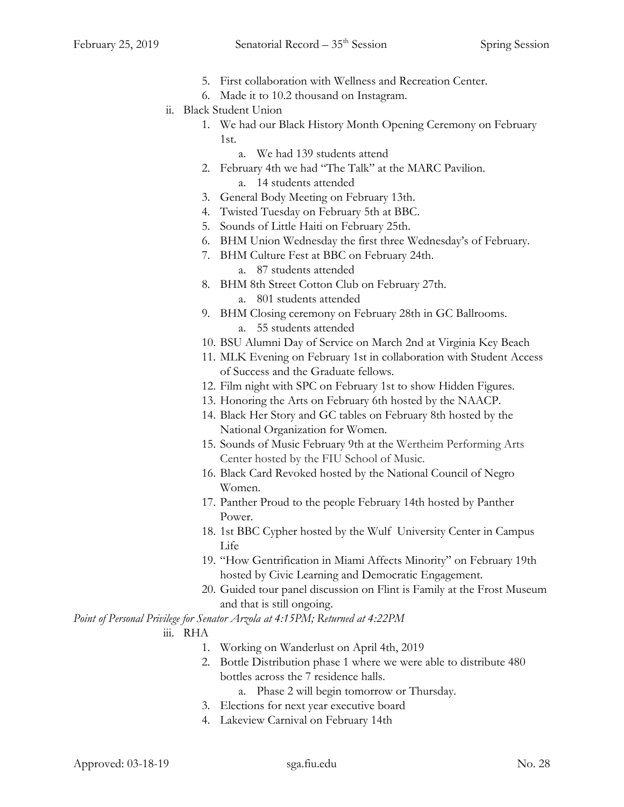- 5. First collaboration with Wellness and Recreation Center.
- 6. Made it to 10.2 thousand on Instagram.
- ii. Black Student Union
	- 1. We had our Black History Month Opening Ceremony on February 1st.
		- a. We had 139 students attend
	- 2. February 4th we had "The Talk" at the MARC Pavilion.
		- a. 14 students attended
	- 3. General Body Meeting on February 13th.
	- 4. Twisted Tuesday on February 5th at BBC.
	- 5. Sounds of Little Haiti on February 25th.
	- 6. BHM Union Wednesday the first three Wednesday's of February.
	- 7. BHM Culture Fest at BBC on February 24th.
		- a. 87 students attended
	- 8. BHM 8th Street Cotton Club on February 27th. a. 801 students attended
	- 9. BHM Closing ceremony on February 28th in GC Ballrooms. a. 55 students attended
	- 10. BSU Alumni Day of Service on March 2nd at Virginia Key Beach
	- 11. MLK Evening on February 1st in collaboration with Student Access of Success and the Graduate fellows.
	- 12. Film night with SPC on February 1st to show Hidden Figures.
	- 13. Honoring the Arts on February 6th hosted by the NAACP.
	- 14. Black Her Story and GC tables on February 8th hosted by the National Organization for Women.
	- 15. Sounds of Music February 9th at the Wertheim Performing Arts Center hosted by the FIU School of Music.
	- 16. Black Card Revoked hosted by the National Council of Negro Women.
	- 17. Panther Proud to the people February 14th hosted by Panther Power.
	- 18. 1st BBC Cypher hosted by the Wulf University Center in Campus Life
	- 19. "How Gentrification in Miami Affects Minority" on February 19th hosted by Civic Learning and Democratic Engagement.
	- 20. Guided tour panel discussion on Flint is Family at the Frost Museum and that is still ongoing.

*Point of Personal Privilege for Senator Arzola at 4:15PM; Returned at 4:22PM*

- iii. RHA
	- 1. Working on Wanderlust on April 4th, 2019
	- 2. Bottle Distribution phase 1 where we were able to distribute 480 bottles across the 7 residence halls.
		- a. Phase 2 will begin tomorrow or Thursday.
	- 3. Elections for next year executive board
	- 4. Lakeview Carnival on February 14th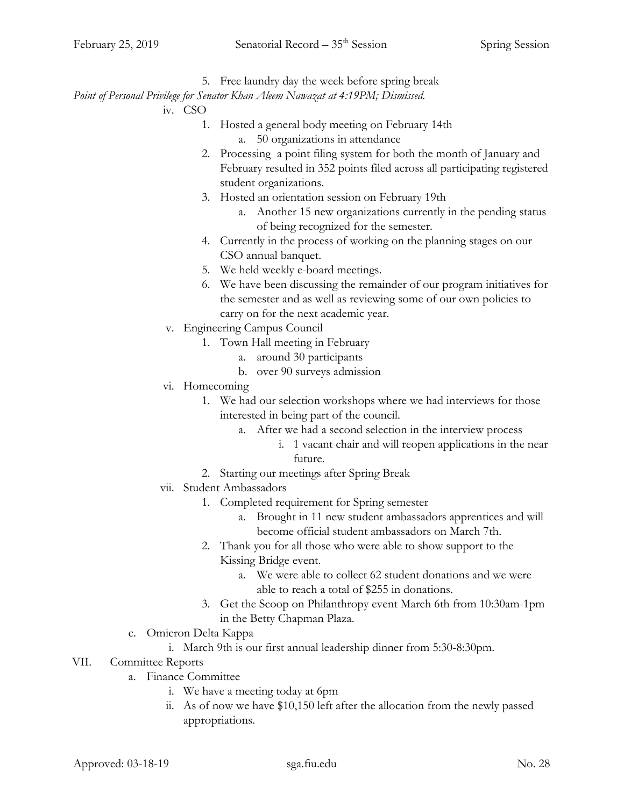5. Free laundry day the week before spring break

*Point of Personal Privilege for Senator Khan Aleem Nawazat at 4:19PM; Dismissed.*

iv. CSO

- 1. Hosted a general body meeting on February 14th
	- a. 50 organizations in attendance
- 2. Processing a point filing system for both the month of January and February resulted in 352 points filed across all participating registered student organizations.
- 3. Hosted an orientation session on February 19th
	- a. Another 15 new organizations currently in the pending status of being recognized for the semester.
- 4. Currently in the process of working on the planning stages on our CSO annual banquet.
- 5. We held weekly e-board meetings.
- 6. We have been discussing the remainder of our program initiatives for the semester and as well as reviewing some of our own policies to carry on for the next academic year.
- v. Engineering Campus Council
	- 1. Town Hall meeting in February
		- a. around 30 participants
		- b. over 90 surveys admission
- vi. Homecoming
	- 1. We had our selection workshops where we had interviews for those interested in being part of the council.
		- a. After we had a second selection in the interview process
			- i. 1 vacant chair and will reopen applications in the near future.
	- 2. Starting our meetings after Spring Break
- vii. Student Ambassadors
	- 1. Completed requirement for Spring semester
		- a. Brought in 11 new student ambassadors apprentices and will become official student ambassadors on March 7th.
	- 2. Thank you for all those who were able to show support to the Kissing Bridge event.
		- a. We were able to collect 62 student donations and we were able to reach a total of \$255 in donations.
	- 3. Get the Scoop on Philanthropy event March 6th from 10:30am-1pm in the Betty Chapman Plaza.
- c. Omicron Delta Kappa
	- i. March 9th is our first annual leadership dinner from 5:30-8:30pm.

### VII. Committee Reports

- a. Finance Committee
	- i. We have a meeting today at 6pm
	- ii. As of now we have \$10,150 left after the allocation from the newly passed appropriations.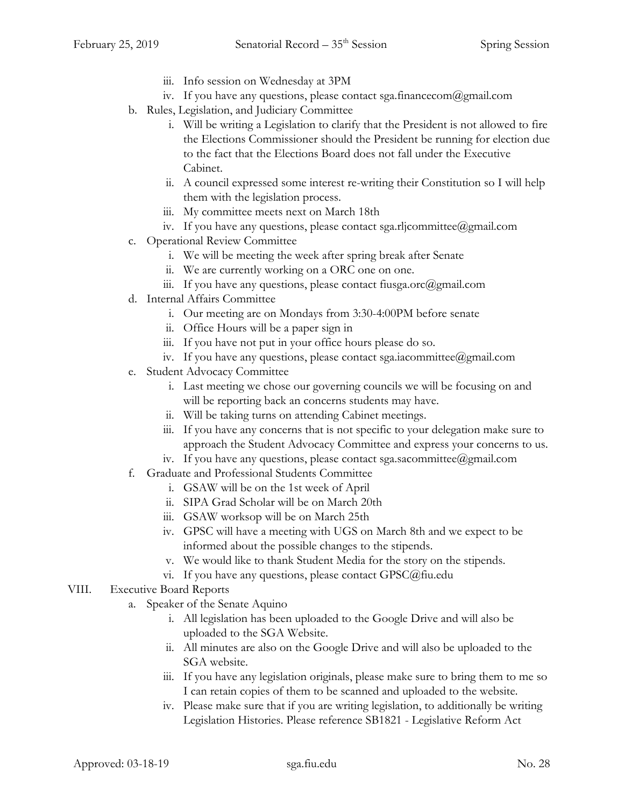- iii. Info session on Wednesday at 3PM
- iv. If you have any questions, please contact sga.financecom@gmail.com
- b. Rules, Legislation, and Judiciary Committee
	- i. Will be writing a Legislation to clarify that the President is not allowed to fire the Elections Commissioner should the President be running for election due to the fact that the Elections Board does not fall under the Executive Cabinet.
	- ii. A council expressed some interest re-writing their Constitution so I will help them with the legislation process.
	- iii. My committee meets next on March 18th
	- iv. If you have any questions, please contact sga.rljcommittee@gmail.com
- c. Operational Review Committee
	- i. We will be meeting the week after spring break after Senate
	- ii. We are currently working on a ORC one on one.
	- iii. If you have any questions, please contact fiusga.orc@gmail.com
- d. Internal Affairs Committee
	- i. Our meeting are on Mondays from 3:30-4:00PM before senate
	- ii. Office Hours will be a paper sign in
	- iii. If you have not put in your office hours please do so.
	- iv. If you have any questions, please contact sga.iacommittee@gmail.com
- e. Student Advocacy Committee
	- i. Last meeting we chose our governing councils we will be focusing on and will be reporting back an concerns students may have.
	- ii. Will be taking turns on attending Cabinet meetings.
	- iii. If you have any concerns that is not specific to your delegation make sure to approach the Student Advocacy Committee and express your concerns to us.
	- iv. If you have any questions, please contact sga.sacommittee@gmail.com
- f. Graduate and Professional Students Committee
	- i. GSAW will be on the 1st week of April
	- ii. SIPA Grad Scholar will be on March 20th
	- iii. GSAW worksop will be on March 25th
	- iv. GPSC will have a meeting with UGS on March 8th and we expect to be informed about the possible changes to the stipends.
	- v. We would like to thank Student Media for the story on the stipends.
	- vi. If you have any questions, please contact GPSC@fiu.edu
- VIII. Executive Board Reports
	- a. Speaker of the Senate Aquino
		- i. All legislation has been uploaded to the Google Drive and will also be uploaded to the SGA Website.
		- ii. All minutes are also on the Google Drive and will also be uploaded to the SGA website.
		- iii. If you have any legislation originals, please make sure to bring them to me so I can retain copies of them to be scanned and uploaded to the website.
		- iv. Please make sure that if you are writing legislation, to additionally be writing Legislation Histories. Please reference SB1821 - Legislative Reform Act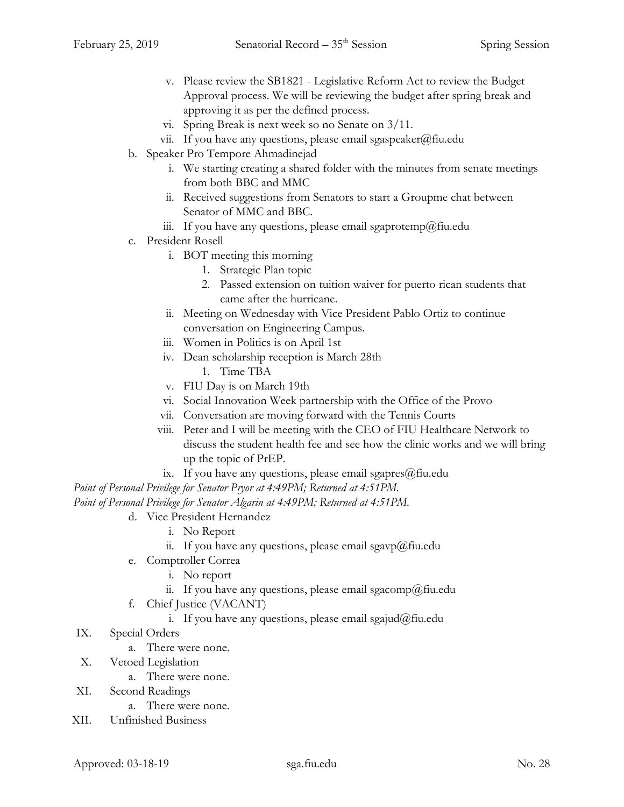- v. Please review the SB1821 Legislative Reform Act to review the Budget Approval process. We will be reviewing the budget after spring break and approving it as per the defined process.
- vi. Spring Break is next week so no Senate on 3/11.
- vii. If you have any questions, please email sgaspeaker@fiu.edu
- b. Speaker Pro Tempore Ahmadinejad
	- i. We starting creating a shared folder with the minutes from senate meetings from both BBC and MMC
	- ii. Received suggestions from Senators to start a Groupme chat between Senator of MMC and BBC.
	- iii. If you have any questions, please email sgaprotemp@fiu.edu
- c. President Rosell
	- i. BOT meeting this morning
		- 1. Strategic Plan topic
		- 2. Passed extension on tuition waiver for puerto rican students that came after the hurricane.
	- ii. Meeting on Wednesday with Vice President Pablo Ortiz to continue conversation on Engineering Campus.
	- iii. Women in Politics is on April 1st
	- iv. Dean scholarship reception is March 28th
		- 1. Time TBA
	- v. FIU Day is on March 19th
	- vi. Social Innovation Week partnership with the Office of the Provo
	- vii. Conversation are moving forward with the Tennis Courts
	- viii. Peter and I will be meeting with the CEO of FIU Healthcare Network to discuss the student health fee and see how the clinic works and we will bring up the topic of PrEP.
		- ix. If you have any questions, please email sgapres $@$ fiu.edu

*Point of Personal Privilege for Senator Pryor at 4:49PM; Returned at 4:51PM.*

*Point of Personal Privilege for Senator Algarin at 4:49PM; Returned at 4:51PM.*

- d. Vice President Hernandez
	- i. No Report
	- ii. If you have any questions, please email sgavp@fiu.edu
- e. Comptroller Correa
	- i. No report
	- ii. If you have any questions, please email sgacomp@fiu.edu
- f. Chief Justice (VACANT)
	- i. If you have any questions, please email sgajud@fiu.edu
- IX. Special Orders
	- a. There were none.
- X. Vetoed Legislation
	- a. There were none.
- XI. Second Readings
	- a. There were none.
- XII. Unfinished Business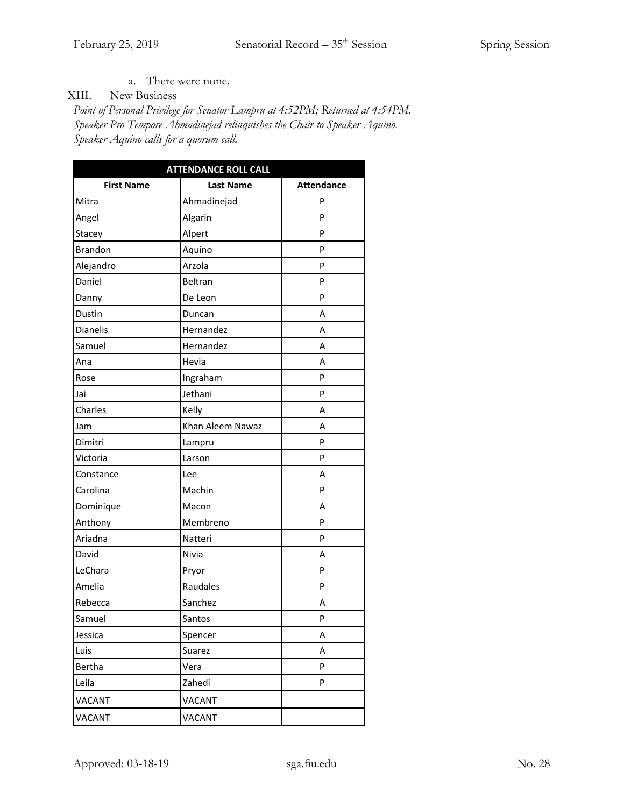a. There were none.

XIII. New Business

*Point of Personal Privilege for Senator Lampru at 4:52PM; Returned at 4:54PM. Speaker Pro Tempore Ahmadinejad relinquishes the Chair to Speaker Aquino. Speaker Aquino calls for a quorum call.*

| <b>ATTENDANCE ROLL CALL</b> |                  |                   |  |
|-----------------------------|------------------|-------------------|--|
| <b>First Name</b>           | <b>Last Name</b> | <b>Attendance</b> |  |
| Mitra                       | Ahmadinejad      | P                 |  |
| Angel                       | Algarin          | P                 |  |
| Stacey                      | Alpert           | P                 |  |
| <b>Brandon</b>              | Aquino           | P                 |  |
| Alejandro                   | Arzola           | P                 |  |
| Daniel                      | Beltran          | P                 |  |
| Danny                       | De Leon          | P                 |  |
| Dustin                      | Duncan           | Α                 |  |
| <b>Dianelis</b>             | Hernandez        | А                 |  |
| Samuel                      | Hernandez        | Α                 |  |
| Ana                         | Hevia            | А                 |  |
| Rose                        | Ingraham         | P                 |  |
| Jai                         | Jethani          | P                 |  |
| Charles                     | Kelly            | А                 |  |
| Jam                         | Khan Aleem Nawaz | Α                 |  |
| Dimitri                     | Lampru           | P                 |  |
| Victoria                    | Larson           | P                 |  |
| Constance                   | Lee              | Α                 |  |
| Carolina                    | Machin           | P                 |  |
| Dominique                   | Macon            | Α                 |  |
| Anthony                     | Membreno         | P                 |  |
| Ariadna                     | Natteri          | P                 |  |
| David                       | Nivia            | Α                 |  |
| LeChara                     | Pryor            | P                 |  |
| Amelia                      | Raudales         | P                 |  |
| Rebecca                     | Sanchez          | Α                 |  |
| Samuel                      | Santos           | P                 |  |
| Jessica                     | Spencer          | Α                 |  |
| Luis                        | Suarez<br>Α      |                   |  |
| Bertha                      | Vera             | P                 |  |
| Leila                       | Zahedi           | P                 |  |
| VACANT                      | VACANT           |                   |  |
| <b>VACANT</b>               | <b>VACANT</b>    |                   |  |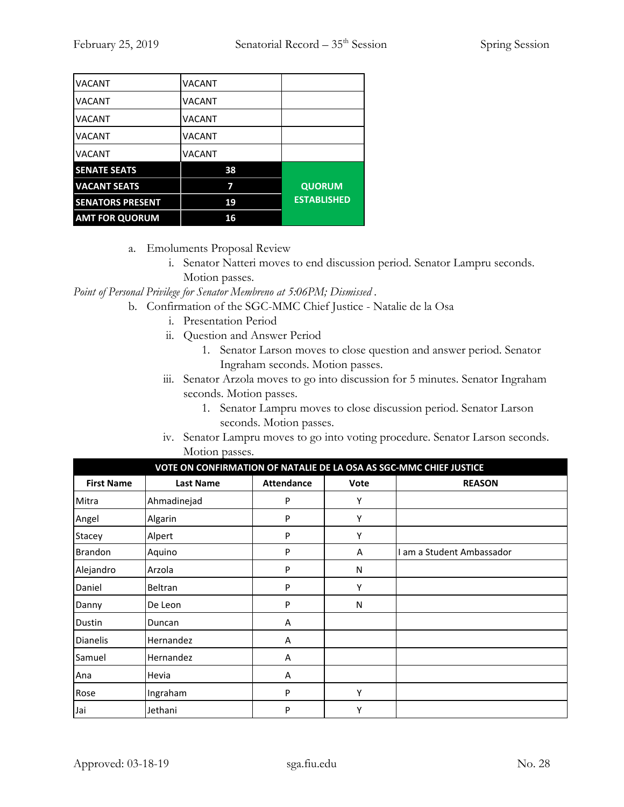| <b>VACANT</b>           | <b>VACANT</b> |                    |
|-------------------------|---------------|--------------------|
| <b>VACANT</b>           | VACANT        |                    |
| <b>VACANT</b>           | <b>VACANT</b> |                    |
| VACANT                  | <b>VACANT</b> |                    |
| <b>VACANT</b>           | <b>VACANT</b> |                    |
| <b>SENATE SEATS</b>     | 38            |                    |
| <b>VACANT SEATS</b>     | 7             | <b>QUORUM</b>      |
| <b>SENATORS PRESENT</b> | 19            | <b>ESTABLISHED</b> |
| <b>AMT FOR QUORUM</b>   | 16            |                    |

- a. Emoluments Proposal Review
	- i. Senator Natteri moves to end discussion period. Senator Lampru seconds. Motion passes.

*Point of Personal Privilege for Senator Membreno at 5:06PM; Dismissed .*

- b. Confirmation of the SGC-MMC Chief Justice Natalie de la Osa
	- i. Presentation Period
	- ii. Question and Answer Period
		- 1. Senator Larson moves to close question and answer period. Senator Ingraham seconds. Motion passes.
	- iii. Senator Arzola moves to go into discussion for 5 minutes. Senator Ingraham seconds. Motion passes.
		- 1. Senator Lampru moves to close discussion period. Senator Larson seconds. Motion passes.
	- iv. Senator Lampru moves to go into voting procedure. Senator Larson seconds. Motion passes.

| VOTE ON CONFIRMATION OF NATALIE DE LA OSA AS SGC-MMC CHIEF JUSTICE |                  |                   |             |                         |
|--------------------------------------------------------------------|------------------|-------------------|-------------|-------------------------|
| <b>First Name</b>                                                  | <b>Last Name</b> | <b>Attendance</b> | <b>Vote</b> | <b>REASON</b>           |
| Mitra                                                              | Ahmadinejad      | P                 | Υ           |                         |
| Angel                                                              | Algarin          | P                 | Υ           |                         |
| Stacey                                                             | Alpert           | P                 | Υ           |                         |
| <b>Brandon</b>                                                     | Aquino           | P                 | A           | am a Student Ambassador |
| Alejandro                                                          | Arzola           | P                 | N           |                         |
| Daniel                                                             | Beltran          | P                 | Υ           |                         |
| Danny                                                              | De Leon          | P                 | N           |                         |
| Dustin                                                             | Duncan           | A                 |             |                         |
| <b>Dianelis</b>                                                    | Hernandez        | Α                 |             |                         |
| Samuel                                                             | Hernandez        | $\overline{A}$    |             |                         |
| Ana                                                                | Hevia            | A                 |             |                         |
| Rose                                                               | Ingraham         | P                 | Υ           |                         |
| Jai                                                                | Jethani          | P                 | Υ           |                         |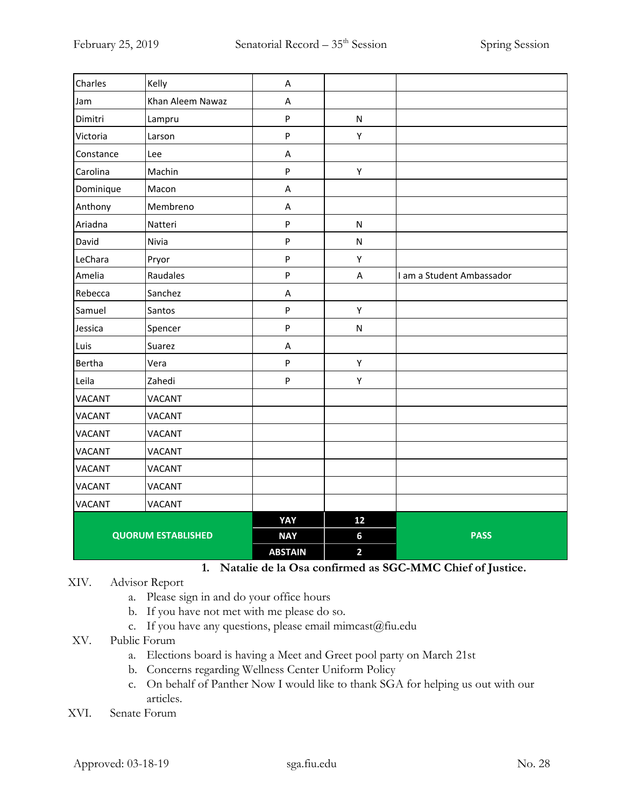| Charles                   | Kelly            | A              |                         |                           |
|---------------------------|------------------|----------------|-------------------------|---------------------------|
| Jam                       | Khan Aleem Nawaz | A              |                         |                           |
| Dimitri                   | Lampru           | $\mathsf{P}$   | $\mathsf{N}$            |                           |
| Victoria                  | Larson           | $\sf P$        | Υ                       |                           |
| Constance                 | Lee              | A              |                         |                           |
| Carolina                  | Machin           | ${\sf P}$      | Υ                       |                           |
| Dominique                 | Macon            | A              |                         |                           |
| Anthony                   | Membreno         | A              |                         |                           |
| Ariadna                   | Natteri          | $\sf P$        | ${\sf N}$               |                           |
| David                     | Nivia            | ${\sf P}$      | ${\sf N}$               |                           |
| LeChara                   | Pryor            | $\sf P$        | Υ                       |                           |
| Amelia                    | Raudales         | ${\sf P}$      | $\sf A$                 | I am a Student Ambassador |
| Rebecca                   | Sanchez          | A              |                         |                           |
| Samuel                    | Santos           | ${\sf P}$      | Υ                       |                           |
| Jessica                   | Spencer          | ${\sf P}$      | ${\sf N}$               |                           |
| Luis                      | Suarez           | A              |                         |                           |
| Bertha                    | Vera             | $\sf P$        | Υ                       |                           |
| Leila                     | Zahedi           | ${\sf P}$      | Υ                       |                           |
| <b>VACANT</b>             | <b>VACANT</b>    |                |                         |                           |
| <b>VACANT</b>             | <b>VACANT</b>    |                |                         |                           |
| <b>VACANT</b>             | VACANT           |                |                         |                           |
| <b>VACANT</b>             | <b>VACANT</b>    |                |                         |                           |
| <b>VACANT</b>             | VACANT           |                |                         |                           |
| <b>VACANT</b>             | VACANT           |                |                         |                           |
| <b>VACANT</b>             | <b>VACANT</b>    |                |                         |                           |
|                           |                  | YAY            | 12                      |                           |
| <b>QUORUM ESTABLISHED</b> |                  | <b>NAY</b>     | 6                       | <b>PASS</b>               |
|                           |                  | <b>ABSTAIN</b> | $\overline{\mathbf{2}}$ |                           |

**1. Natalie de la Osa confirmed as SGC-MMC Chief of Justice.**

### XIV. Advisor Report

- a. Please sign in and do your office hours
- b. If you have not met with me please do so.
- c. If you have any questions, please email mimcast@fiu.edu
- XV. Public Forum
	- a. Elections board is having a Meet and Greet pool party on March 21st
	- b. Concerns regarding Wellness Center Uniform Policy
	- c. On behalf of Panther Now I would like to thank SGA for helping us out with our articles.
- XVI. Senate Forum